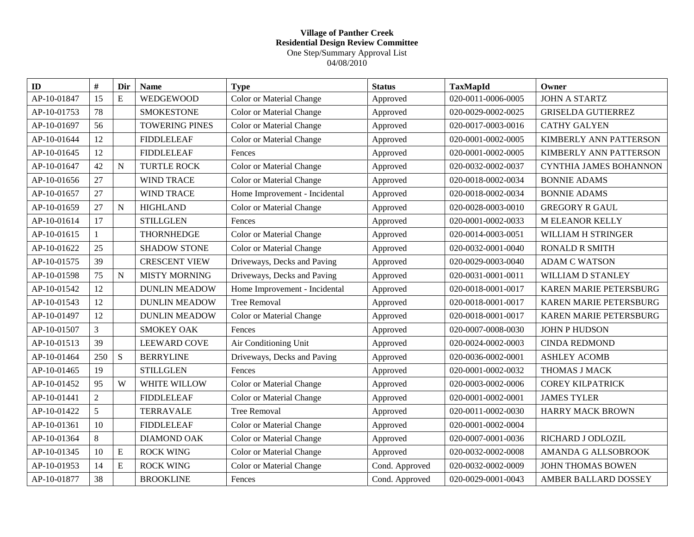## **Village of Panther Creek Residential Design Review Committee** One Step/Summary Approval List 04/08/2010

| $\mathbf{ID}$ | $\#$           | Dir       | <b>Name</b>           | <b>Type</b>                     | <b>Status</b>  | <b>TaxMapId</b>    | Owner                     |
|---------------|----------------|-----------|-----------------------|---------------------------------|----------------|--------------------|---------------------------|
| AP-10-01847   | 15             | E         | <b>WEDGEWOOD</b>      | <b>Color or Material Change</b> | Approved       | 020-0011-0006-0005 | <b>JOHN A STARTZ</b>      |
| AP-10-01753   | 78             |           | <b>SMOKESTONE</b>     | Color or Material Change        | Approved       | 020-0029-0002-0025 | <b>GRISELDA GUTIERREZ</b> |
| AP-10-01697   | 56             |           | <b>TOWERING PINES</b> | <b>Color or Material Change</b> | Approved       | 020-0017-0003-0016 | <b>CATHY GALYEN</b>       |
| AP-10-01644   | 12             |           | <b>FIDDLELEAF</b>     | Color or Material Change        | Approved       | 020-0001-0002-0005 | KIMBERLY ANN PATTERSON    |
| AP-10-01645   | 12             |           | <b>FIDDLELEAF</b>     | Fences                          | Approved       | 020-0001-0002-0005 | KIMBERLY ANN PATTERSON    |
| AP-10-01647   | 42             | ${\bf N}$ | <b>TURTLE ROCK</b>    | Color or Material Change        | Approved       | 020-0032-0002-0037 | CYNTHIA JAMES BOHANNON    |
| AP-10-01656   | 27             |           | <b>WIND TRACE</b>     | <b>Color or Material Change</b> | Approved       | 020-0018-0002-0034 | <b>BONNIE ADAMS</b>       |
| AP-10-01657   | 27             |           | <b>WIND TRACE</b>     | Home Improvement - Incidental   | Approved       | 020-0018-0002-0034 | <b>BONNIE ADAMS</b>       |
| AP-10-01659   | 27             | N         | <b>HIGHLAND</b>       | <b>Color or Material Change</b> | Approved       | 020-0028-0003-0010 | <b>GREGORY R GAUL</b>     |
| AP-10-01614   | 17             |           | <b>STILLGLEN</b>      | Fences                          | Approved       | 020-0001-0002-0033 | <b>M ELEANOR KELLY</b>    |
| AP-10-01615   | $\mathbf{1}$   |           | <b>THORNHEDGE</b>     | <b>Color or Material Change</b> | Approved       | 020-0014-0003-0051 | WILLIAM H STRINGER        |
| AP-10-01622   | 25             |           | <b>SHADOW STONE</b>   | <b>Color or Material Change</b> | Approved       | 020-0032-0001-0040 | <b>RONALD R SMITH</b>     |
| AP-10-01575   | 39             |           | <b>CRESCENT VIEW</b>  | Driveways, Decks and Paving     | Approved       | 020-0029-0003-0040 | <b>ADAM C WATSON</b>      |
| AP-10-01598   | 75             | ${\bf N}$ | <b>MISTY MORNING</b>  | Driveways, Decks and Paving     | Approved       | 020-0031-0001-0011 | WILLIAM D STANLEY         |
| AP-10-01542   | 12             |           | <b>DUNLIN MEADOW</b>  | Home Improvement - Incidental   | Approved       | 020-0018-0001-0017 | KAREN MARIE PETERSBURG    |
| AP-10-01543   | 12             |           | <b>DUNLIN MEADOW</b>  | <b>Tree Removal</b>             | Approved       | 020-0018-0001-0017 | KAREN MARIE PETERSBURG    |
| AP-10-01497   | 12             |           | <b>DUNLIN MEADOW</b>  | Color or Material Change        | Approved       | 020-0018-0001-0017 | KAREN MARIE PETERSBURG    |
| AP-10-01507   | $\overline{3}$ |           | <b>SMOKEY OAK</b>     | Fences                          | Approved       | 020-0007-0008-0030 | <b>JOHN P HUDSON</b>      |
| AP-10-01513   | 39             |           | <b>LEEWARD COVE</b>   | Air Conditioning Unit           | Approved       | 020-0024-0002-0003 | <b>CINDA REDMOND</b>      |
| AP-10-01464   | 250            | S         | <b>BERRYLINE</b>      | Driveways, Decks and Paving     | Approved       | 020-0036-0002-0001 | <b>ASHLEY ACOMB</b>       |
| AP-10-01465   | 19             |           | <b>STILLGLEN</b>      | Fences                          | Approved       | 020-0001-0002-0032 | THOMAS J MACK             |
| AP-10-01452   | 95             | W         | <b>WHITE WILLOW</b>   | <b>Color or Material Change</b> | Approved       | 020-0003-0002-0006 | <b>COREY KILPATRICK</b>   |
| AP-10-01441   | $\overline{2}$ |           | <b>FIDDLELEAF</b>     | Color or Material Change        | Approved       | 020-0001-0002-0001 | <b>JAMES TYLER</b>        |
| AP-10-01422   | 5              |           | <b>TERRAVALE</b>      | <b>Tree Removal</b>             | Approved       | 020-0011-0002-0030 | <b>HARRY MACK BROWN</b>   |
| AP-10-01361   | 10             |           | <b>FIDDLELEAF</b>     | Color or Material Change        | Approved       | 020-0001-0002-0004 |                           |
| AP-10-01364   | 8              |           | <b>DIAMOND OAK</b>    | <b>Color or Material Change</b> | Approved       | 020-0007-0001-0036 | RICHARD J ODLOZIL         |
| AP-10-01345   | 10             | ${\bf E}$ | <b>ROCK WING</b>      | <b>Color or Material Change</b> | Approved       | 020-0032-0002-0008 | AMANDA G ALLSOBROOK       |
| AP-10-01953   | 14             | E         | <b>ROCK WING</b>      | Color or Material Change        | Cond. Approved | 020-0032-0002-0009 | <b>JOHN THOMAS BOWEN</b>  |
| AP-10-01877   | 38             |           | <b>BROOKLINE</b>      | Fences                          | Cond. Approved | 020-0029-0001-0043 | AMBER BALLARD DOSSEY      |